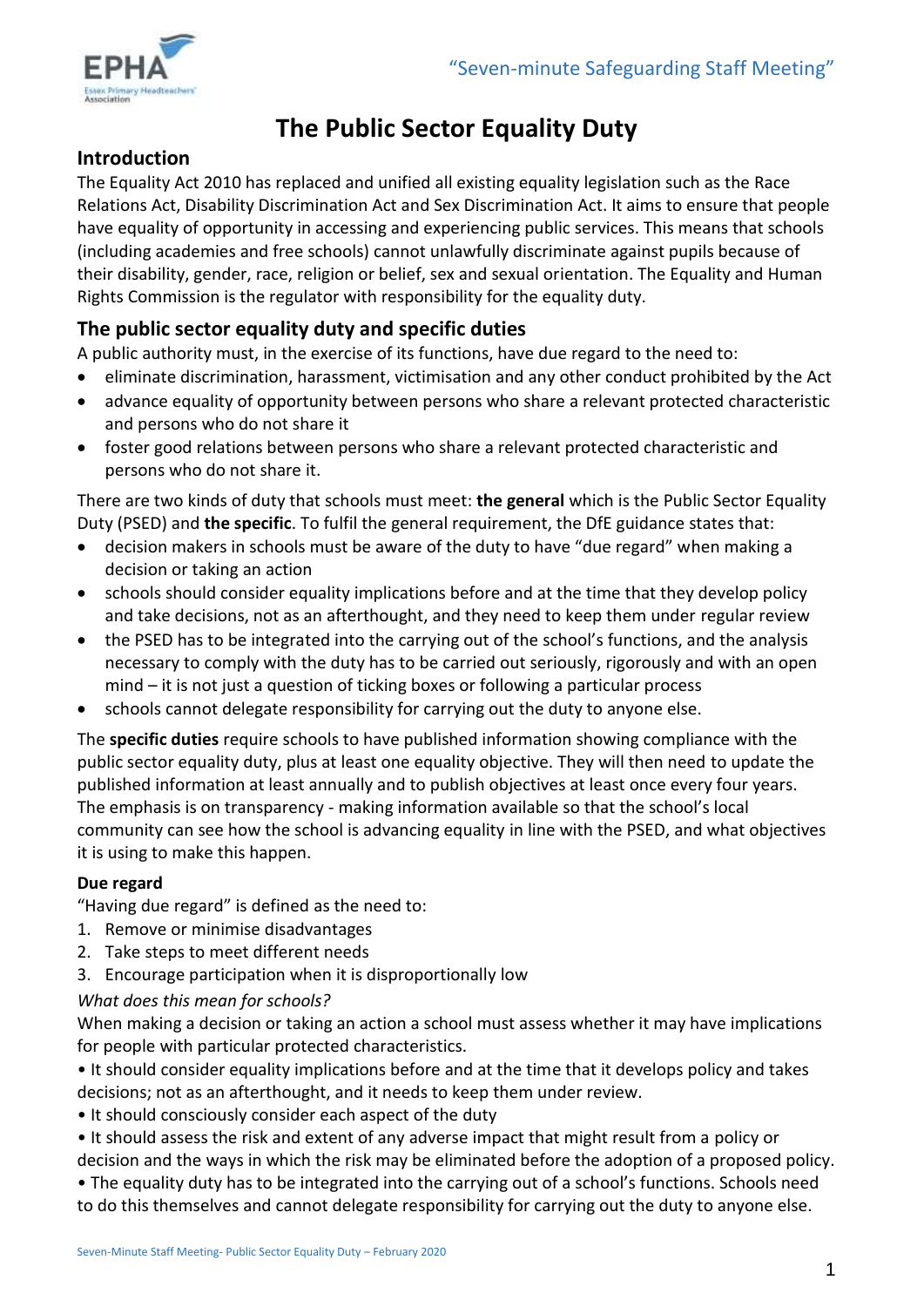

# **The Public Sector Equality Duty**

## **Introduction**

The Equality Act 2010 has replaced and unified all existing equality legislation such as the Race Relations Act, Disability Discrimination Act and Sex Discrimination Act. It aims to ensure that people have equality of opportunity in accessing and experiencing public services. This means that schools (including academies and free schools) cannot unlawfully discriminate against pupils because of their disability, gender, race, religion or belief, sex and sexual orientation. The Equality and Human Rights Commission is the regulator with responsibility for the equality duty.

# **The public sector equality duty and specific duties**

A public authority must, in the exercise of its functions, have due regard to the need to:

- eliminate discrimination, harassment, victimisation and any other conduct prohibited by the Act
- advance equality of opportunity between persons who share a relevant protected characteristic and persons who do not share it
- foster good relations between persons who share a relevant protected characteristic and persons who do not share it.

There are two kinds of duty that schools must meet: **the general** which is the Public Sector Equality Duty (PSED) and **the specific**. To fulfil the general requirement, the DfE guidance states that:

- decision makers in schools must be aware of the duty to have "due regard" when making a decision or taking an action
- schools should consider equality implications before and at the time that they develop policy and take decisions, not as an afterthought, and they need to keep them under regular review
- the PSED has to be integrated into the carrying out of the school's functions, and the analysis necessary to comply with the duty has to be carried out seriously, rigorously and with an open mind – it is not just a question of ticking boxes or following a particular process
- schools cannot delegate responsibility for carrying out the duty to anyone else.

The **specific duties** require schools to have published information showing compliance with the public sector equality duty, plus at least one equality objective. They will then need to update the published information at least annually and to publish objectives at least once every four years. The emphasis is on transparency - making information available so that the school's local community can see how the school is advancing equality in line with the PSED, and what objectives it is using to make this happen.

#### **Due regard**

"Having due regard" is defined as the need to:

- 1. Remove or minimise disadvantages
- 2. Take steps to meet different needs
- 3. Encourage participation when it is disproportionally low

#### *What does this mean for schools?*

When making a decision or taking an action a school must assess whether it may have implications for people with particular protected characteristics.

• It should consider equality implications before and at the time that it develops policy and takes decisions; not as an afterthought, and it needs to keep them under review.

- It should consciously consider each aspect of the duty
- It should assess the risk and extent of any adverse impact that might result from a policy or decision and the ways in which the risk may be eliminated before the adoption of a proposed policy.

• The equality duty has to be integrated into the carrying out of a school's functions. Schools need to do this themselves and cannot delegate responsibility for carrying out the duty to anyone else.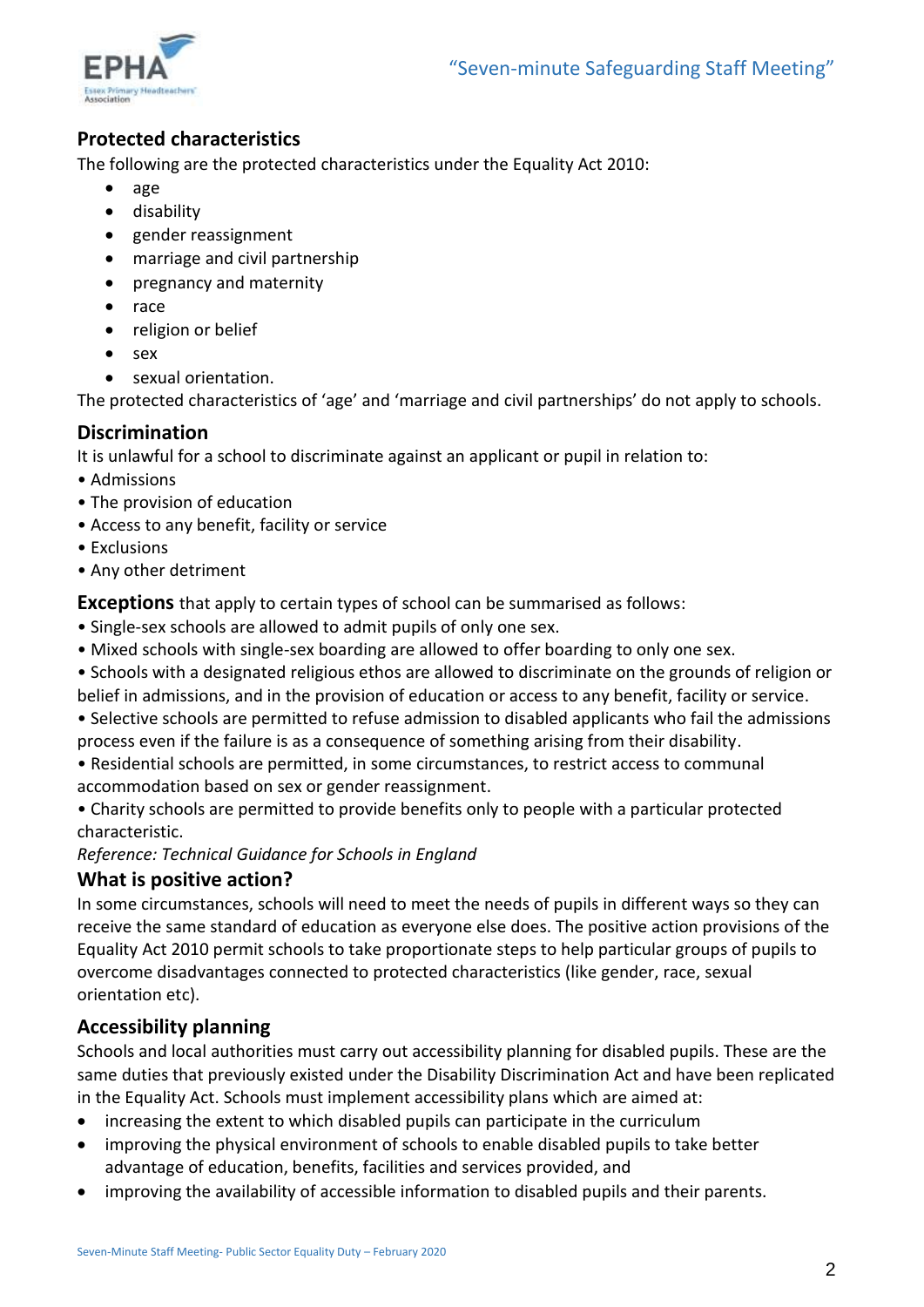

# **Protected characteristics**

The following are the protected characteristics under the Equality Act 2010:

- age
- disability
- gender reassignment
- marriage and civil partnership
- pregnancy and maternity
- race
- religion or belief
- sex
- sexual orientation.

The protected characteristics of 'age' and 'marriage and civil partnerships' do not apply to schools.

### **Discrimination**

It is unlawful for a school to discriminate against an applicant or pupil in relation to:

- Admissions
- The provision of education
- Access to any benefit, facility or service
- Exclusions
- Any other detriment

**Exceptions** that apply to certain types of school can be summarised as follows:

- Single-sex schools are allowed to admit pupils of only one sex.
- Mixed schools with single-sex boarding are allowed to offer boarding to only one sex.

• Schools with a designated religious ethos are allowed to discriminate on the grounds of religion or belief in admissions, and in the provision of education or access to any benefit, facility or service.

• Selective schools are permitted to refuse admission to disabled applicants who fail the admissions process even if the failure is as a consequence of something arising from their disability.

• Residential schools are permitted, in some circumstances, to restrict access to communal accommodation based on sex or gender reassignment.

• Charity schools are permitted to provide benefits only to people with a particular protected characteristic.

*Reference: Technical Guidance for Schools in England*

#### **What is positive action?**

In some circumstances, schools will need to meet the needs of pupils in different ways so they can receive the same standard of education as everyone else does. The positive action provisions of the Equality Act 2010 permit schools to take proportionate steps to help particular groups of pupils to overcome disadvantages connected to protected characteristics (like gender, race, sexual orientation etc).

# **Accessibility planning**

Schools and local authorities must carry out accessibility planning for disabled pupils. These are the same duties that previously existed under the Disability Discrimination Act and have been replicated in the Equality Act. Schools must implement accessibility plans which are aimed at:

- increasing the extent to which disabled pupils can participate in the curriculum
- improving the physical environment of schools to enable disabled pupils to take better advantage of education, benefits, facilities and services provided, and
- improving the availability of accessible information to disabled pupils and their parents.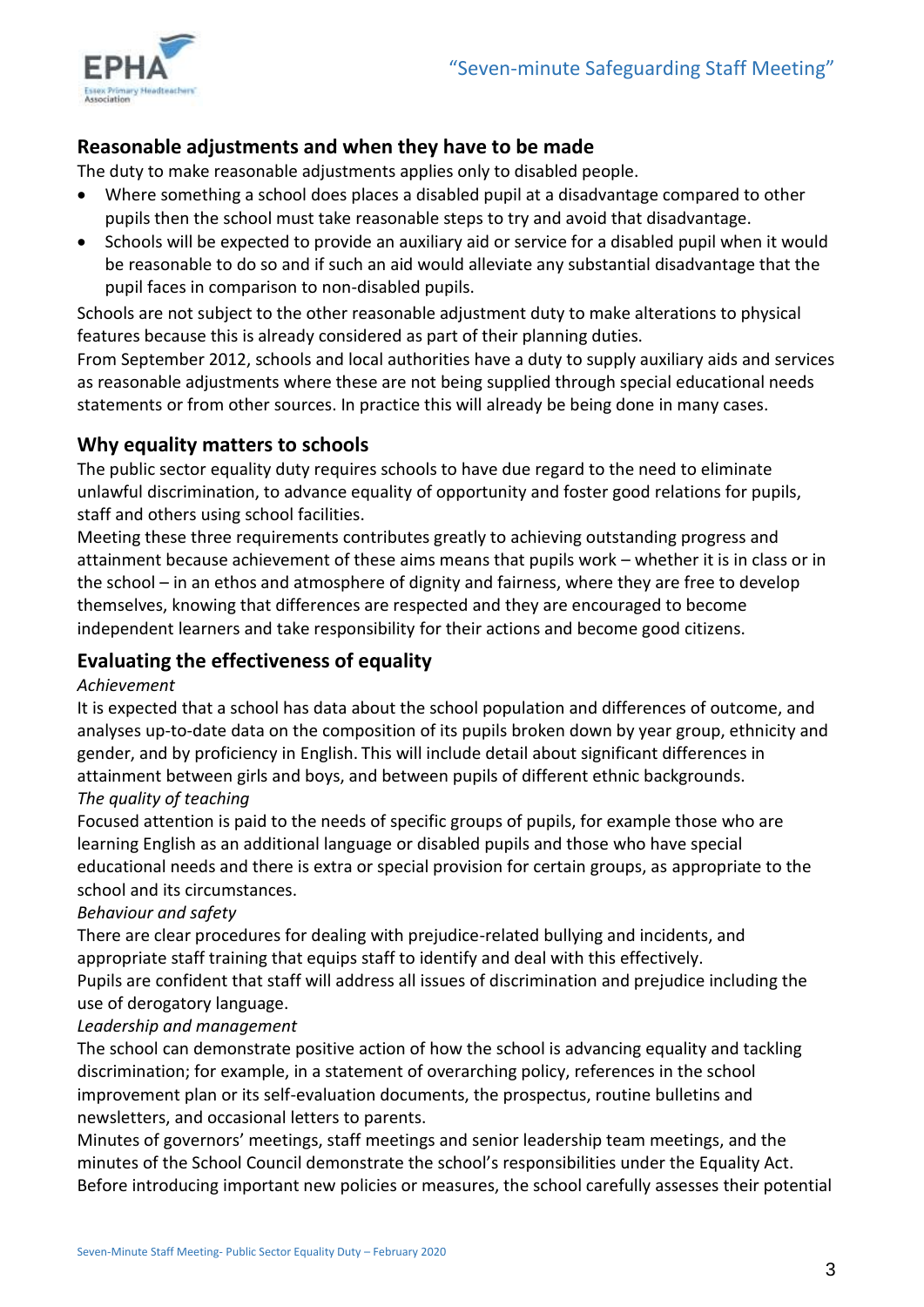

# **Reasonable adjustments and when they have to be made**

The duty to make reasonable adjustments applies only to disabled people.

- Where something a school does places a disabled pupil at a disadvantage compared to other pupils then the school must take reasonable steps to try and avoid that disadvantage.
- Schools will be expected to provide an auxiliary aid or service for a disabled pupil when it would be reasonable to do so and if such an aid would alleviate any substantial disadvantage that the pupil faces in comparison to non-disabled pupils.

Schools are not subject to the other reasonable adjustment duty to make alterations to physical features because this is already considered as part of their planning duties.

From September 2012, schools and local authorities have a duty to supply auxiliary aids and services as reasonable adjustments where these are not being supplied through special educational needs statements or from other sources. In practice this will already be being done in many cases.

# **Why equality matters to schools**

The public sector equality duty requires schools to have due regard to the need to eliminate unlawful discrimination, to advance equality of opportunity and foster good relations for pupils, staff and others using school facilities.

Meeting these three requirements contributes greatly to achieving outstanding progress and attainment because achievement of these aims means that pupils work – whether it is in class or in the school – in an ethos and atmosphere of dignity and fairness, where they are free to develop themselves, knowing that differences are respected and they are encouraged to become independent learners and take responsibility for their actions and become good citizens.

# **Evaluating the effectiveness of equality**

#### *Achievement*

It is expected that a school has data about the school population and differences of outcome, and analyses up-to-date data on the composition of its pupils broken down by year group, ethnicity and gender, and by proficiency in English. This will include detail about significant differences in attainment between girls and boys, and between pupils of different ethnic backgrounds.

#### *The quality of teaching*

Focused attention is paid to the needs of specific groups of pupils, for example those who are learning English as an additional language or disabled pupils and those who have special educational needs and there is extra or special provision for certain groups, as appropriate to the school and its circumstances.

#### *Behaviour and safety*

There are clear procedures for dealing with prejudice-related bullying and incidents, and appropriate staff training that equips staff to identify and deal with this effectively.

Pupils are confident that staff will address all issues of discrimination and prejudice including the use of derogatory language.

#### *Leadership and management*

The school can demonstrate positive action of how the school is advancing equality and tackling discrimination; for example, in a statement of overarching policy, references in the school improvement plan or its self-evaluation documents, the prospectus, routine bulletins and newsletters, and occasional letters to parents.

Minutes of governors' meetings, staff meetings and senior leadership team meetings, and the minutes of the School Council demonstrate the school's responsibilities under the Equality Act. Before introducing important new policies or measures, the school carefully assesses their potential